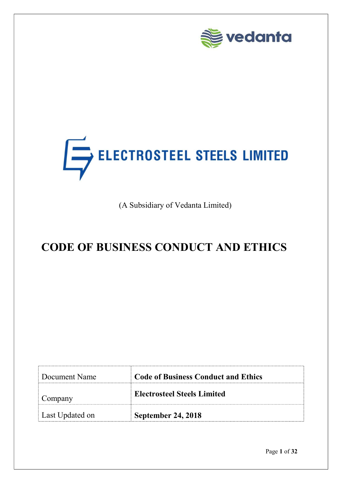

# ELECTROSTEEL STEELS LIMITED

(A Subsidiary of Vedanta Limited)

## CODE OF BUSINESS CONDUCT AND ETHICS

| Document Name   | <b>Code of Business Conduct and Ethics</b> |  |  |
|-----------------|--------------------------------------------|--|--|
| Company         | <b>Electrosteel Steels Limited</b>         |  |  |
| Last Updated on | September 24, 2018                         |  |  |

Page 1 of 32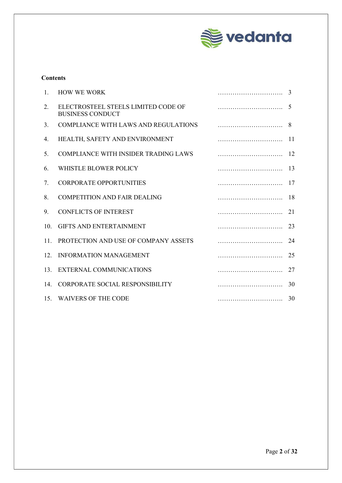

#### **Contents**

| 1.              | <b>HOW WE WORK</b>                                             | 3    |
|-----------------|----------------------------------------------------------------|------|
| 2.              | ELECTROSTEEL STEELS LIMITED CODE OF<br><b>BUSINESS CONDUCT</b> | .5   |
| 3.              | <b>COMPLIANCE WITH LAWS AND REGULATIONS</b>                    | 8    |
| 4.              | HEALTH, SAFETY AND ENVIRONMENT                                 |      |
| 5.              | COMPLIANCE WITH INSIDER TRADING LAWS                           | - 12 |
| 6.              | WHISTLE BLOWER POLICY                                          |      |
| 7.              | <b>CORPORATE OPPORTUNITIES</b>                                 | 17   |
| 8.              | <b>COMPETITION AND FAIR DEALING</b>                            | 18   |
| 9.              | <b>CONFLICTS OF INTEREST</b>                                   | 21   |
| 10 <sub>l</sub> | <b>GIFTS AND ENTERTAINMENT</b>                                 | 23   |
| 11.             | PROTECTION AND USE OF COMPANY ASSETS                           | 24   |
| 12 <sub>1</sub> | <b>INFORMATION MANAGEMENT</b>                                  | 25   |
| 13.             | <b>EXTERNAL COMMUNICATIONS</b>                                 | 27   |
| 14.             | CORPORATE SOCIAL RESPONSIBILITY                                | 30   |
|                 | 15. WAIVERS OF THE CODE                                        |      |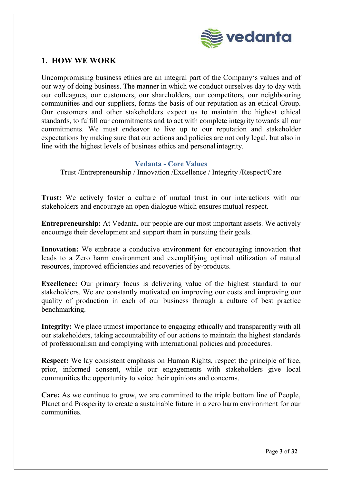

## 1. HOW WE WORK

Uncompromising business ethics are an integral part of the Company's values and of our way of doing business. The manner in which we conduct ourselves day to day with our colleagues, our customers, our shareholders, our competitors, our neighbouring communities and our suppliers, forms the basis of our reputation as an ethical Group. Our customers and other stakeholders expect us to maintain the highest ethical standards, to fulfill our commitments and to act with complete integrity towards all our commitments. We must endeavor to live up to our reputation and stakeholder expectations by making sure that our actions and policies are not only legal, but also in line with the highest levels of business ethics and personal integrity.

#### Vedanta - Core Values

Trust /Entrepreneurship / Innovation /Excellence / Integrity /Respect/Care

Trust: We actively foster a culture of mutual trust in our interactions with our stakeholders and encourage an open dialogue which ensures mutual respect.

Entrepreneurship: At Vedanta, our people are our most important assets. We actively encourage their development and support them in pursuing their goals.

Innovation: We embrace a conducive environment for encouraging innovation that leads to a Zero harm environment and exemplifying optimal utilization of natural resources, improved efficiencies and recoveries of by-products.

Excellence: Our primary focus is delivering value of the highest standard to our stakeholders. We are constantly motivated on improving our costs and improving our quality of production in each of our business through a culture of best practice benchmarking.

Integrity: We place utmost importance to engaging ethically and transparently with all our stakeholders, taking accountability of our actions to maintain the highest standards of professionalism and complying with international policies and procedures.

Respect: We lay consistent emphasis on Human Rights, respect the principle of free, prior, informed consent, while our engagements with stakeholders give local communities the opportunity to voice their opinions and concerns.

Care: As we continue to grow, we are committed to the triple bottom line of People, Planet and Prosperity to create a sustainable future in a zero harm environment for our communities.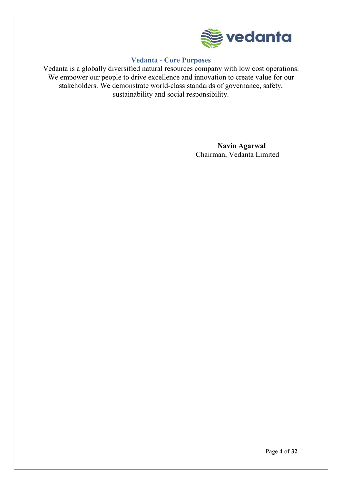

## Vedanta - Core Purposes

Vedanta is a globally diversified natural resources company with low cost operations. We empower our people to drive excellence and innovation to create value for our stakeholders. We demonstrate world-class standards of governance, safety, sustainability and social responsibility.

> Navin Agarwal Chairman, Vedanta Limited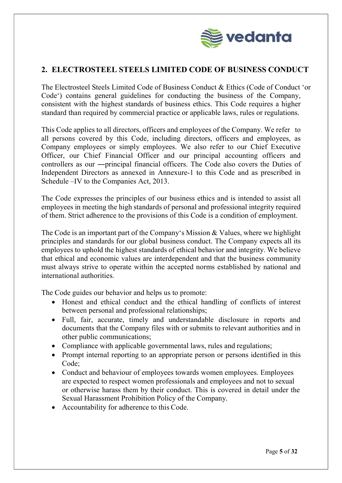

## 2. ELECTROSTEEL STEELS LIMITED CODE OF BUSINESS CONDUCT

The Electrosteel Steels Limited Code of Business Conduct & Ethics (Code of Conduct 'or Code') contains general guidelines for conducting the business of the Company, consistent with the highest standards of business ethics. This Code requires a higher standard than required by commercial practice or applicable laws, rules or regulations.

This Code applies to all directors, officers and employees of the Company. We refer to all persons covered by this Code, including directors, officers and employees, as Company employees or simply employees. We also refer to our Chief Executive Officer, our Chief Financial Officer and our principal accounting officers and controllers as our ―principal financial officers. The Code also covers the Duties of Independent Directors as annexed in Annexure-1 to this Code and as prescribed in Schedule –IV to the Companies Act, 2013.

The Code expresses the principles of our business ethics and is intended to assist all employees in meeting the high standards of personal and professional integrity required of them. Strict adherence to the provisions of this Code is a condition of employment.

The Code is an important part of the Company's Mission & Values, where we highlight principles and standards for our global business conduct. The Company expects all its employees to uphold the highest standards of ethical behavior and integrity. We believe that ethical and economic values are interdependent and that the business community must always strive to operate within the accepted norms established by national and international authorities.

The Code guides our behavior and helps us to promote:

- Honest and ethical conduct and the ethical handling of conflicts of interest between personal and professional relationships;
- Full, fair, accurate, timely and understandable disclosure in reports and documents that the Company files with or submits to relevant authorities and in other public communications;
- Compliance with applicable governmental laws, rules and regulations;
- Prompt internal reporting to an appropriate person or persons identified in this Code;
- Conduct and behaviour of employees towards women employees. Employees are expected to respect women professionals and employees and not to sexual or otherwise harass them by their conduct. This is covered in detail under the Sexual Harassment Prohibition Policy of the Company.
- Accountability for adherence to this Code.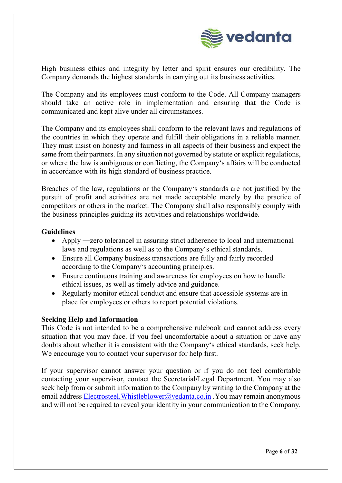

High business ethics and integrity by letter and spirit ensures our credibility. The Company demands the highest standards in carrying out its business activities.

The Company and its employees must conform to the Code. All Company managers should take an active role in implementation and ensuring that the Code is communicated and kept alive under all circumstances.

The Company and its employees shall conform to the relevant laws and regulations of the countries in which they operate and fulfill their obligations in a reliable manner. They must insist on honesty and fairness in all aspects of their business and expect the same from their partners. In any situation not governed by statute or explicit regulations, or where the law is ambiguous or conflicting, the Company's affairs will be conducted in accordance with its high standard of business practice.

Breaches of the law, regulations or the Company's standards are not justified by the pursuit of profit and activities are not made acceptable merely by the practice of competitors or others in the market. The Company shall also responsibly comply with the business principles guiding its activities and relationships worldwide.

## Guidelines

- Apply —zero tolerance in assuring strict adherence to local and international laws and regulations as well as to the Company's ethical standards.
- Ensure all Company business transactions are fully and fairly recorded according to the Company's accounting principles.
- Ensure continuous training and awareness for employees on how to handle ethical issues, as well as timely advice and guidance.
- Regularly monitor ethical conduct and ensure that accessible systems are in place for employees or others to report potential violations.

## Seeking Help and Information

This Code is not intended to be a comprehensive rulebook and cannot address every situation that you may face. If you feel uncomfortable about a situation or have any doubts about whether it is consistent with the Company's ethical standards, seek help. We encourage you to contact your supervisor for help first.

If your supervisor cannot answer your question or if you do not feel comfortable contacting your supervisor, contact the Secretarial/Legal Department. You may also seek help from or submit information to the Company by writing to the Company at the email address Electrosteel. Whistleblower@vedanta.co.in . You may remain anonymous and will not be required to reveal your identity in your communication to the Company.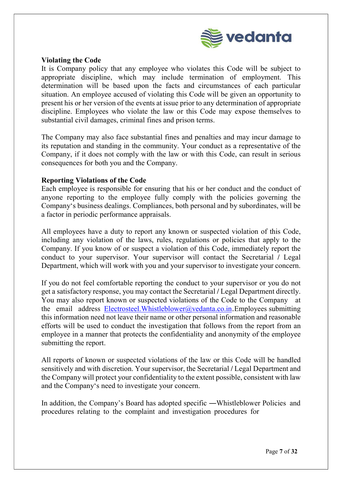

## Violating the Code

It is Company policy that any employee who violates this Code will be subject to appropriate discipline, which may include termination of employment. This determination will be based upon the facts and circumstances of each particular situation. An employee accused of violating this Code will be given an opportunity to present his or her version of the events at issue prior to any determination of appropriate discipline. Employees who violate the law or this Code may expose themselves to substantial civil damages, criminal fines and prison terms.

The Company may also face substantial fines and penalties and may incur damage to its reputation and standing in the community. Your conduct as a representative of the Company, if it does not comply with the law or with this Code, can result in serious consequences for both you and the Company.

#### Reporting Violations of the Code

Each employee is responsible for ensuring that his or her conduct and the conduct of anyone reporting to the employee fully comply with the policies governing the Company's business dealings. Compliances, both personal and by subordinates, will be a factor in periodic performance appraisals.

All employees have a duty to report any known or suspected violation of this Code, including any violation of the laws, rules, regulations or policies that apply to the Company. If you know of or suspect a violation of this Code, immediately report the conduct to your supervisor. Your supervisor will contact the Secretarial / Legal Department, which will work with you and your supervisor to investigate your concern.

If you do not feel comfortable reporting the conduct to your supervisor or you do not get a satisfactory response, you may contact the Secretarial / Legal Department directly. You may also report known or suspected violations of the Code to the Company at the email address Electrosteel.Whistleblower@vedanta.co.in.Employees submitting this information need not leave their name or other personal information and reasonable efforts will be used to conduct the investigation that follows from the report from an employee in a manner that protects the confidentiality and anonymity of the employee submitting the report.

All reports of known or suspected violations of the law or this Code will be handled sensitively and with discretion. Your supervisor, the Secretarial / Legal Department and the Company will protect your confidentiality to the extent possible, consistent with law and the Company's need to investigate your concern.

In addition, the Company's Board has adopted specific —Whistleblower Policies and procedures relating to the complaint and investigation procedures for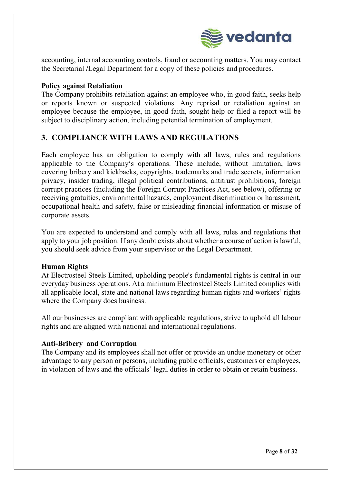

accounting, internal accounting controls, fraud or accounting matters. You may contact the Secretarial /Legal Department for a copy of these policies and procedures.

## Policy against Retaliation

The Company prohibits retaliation against an employee who, in good faith, seeks help or reports known or suspected violations. Any reprisal or retaliation against an employee because the employee, in good faith, sought help or filed a report will be subject to disciplinary action, including potential termination of employment.

## 3. COMPLIANCE WITH LAWS AND REGULATIONS

Each employee has an obligation to comply with all laws, rules and regulations applicable to the Company's operations. These include, without limitation, laws covering bribery and kickbacks, copyrights, trademarks and trade secrets, information privacy, insider trading, illegal political contributions, antitrust prohibitions, foreign corrupt practices (including the Foreign Corrupt Practices Act, see below), offering or receiving gratuities, environmental hazards, employment discrimination or harassment, occupational health and safety, false or misleading financial information or misuse of corporate assets.

You are expected to understand and comply with all laws, rules and regulations that apply to your job position. If any doubt exists about whether a course of action is lawful, you should seek advice from your supervisor or the Legal Department.

## Human Rights

At Electrosteel Steels Limited, upholding people's fundamental rights is central in our everyday business operations. At a minimum Electrosteel Steels Limited complies with all applicable local, state and national laws regarding human rights and workers' rights where the Company does business.

All our businesses are compliant with applicable regulations, strive to uphold all labour rights and are aligned with national and international regulations.

## Anti-Bribery and Corruption

The Company and its employees shall not offer or provide an undue monetary or other advantage to any person or persons, including public officials, customers or employees, in violation of laws and the officials' legal duties in order to obtain or retain business.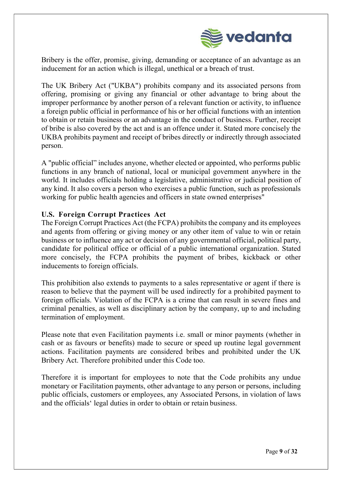

Bribery is the offer, promise, giving, demanding or acceptance of an advantage as an inducement for an action which is illegal, unethical or a breach of trust.

The UK Bribery Act ("UKBA") prohibits company and its associated persons from offering, promising or giving any financial or other advantage to bring about the improper performance by another person of a relevant function or activity, to influence a foreign public official in performance of his or her official functions with an intention to obtain or retain business or an advantage in the conduct of business. Further, receipt of bribe is also covered by the act and is an offence under it. Stated more concisely the UKBA prohibits payment and receipt of bribes directly or indirectly through associated person.

A "public official" includes anyone, whether elected or appointed, who performs public functions in any branch of national, local or municipal government anywhere in the world. It includes officials holding a legislative, administrative or judicial position of any kind. It also covers a person who exercises a public function, such as professionals working for public health agencies and officers in state owned enterprises"

## U.S. Foreign Corrupt Practices Act

The Foreign Corrupt Practices Act (the FCPA) prohibits the company and its employees and agents from offering or giving money or any other item of value to win or retain business or to influence any act or decision of any governmental official, political party, candidate for political office or official of a public international organization. Stated more concisely, the FCPA prohibits the payment of bribes, kickback or other inducements to foreign officials.

This prohibition also extends to payments to a sales representative or agent if there is reason to believe that the payment will be used indirectly for a prohibited payment to foreign officials. Violation of the FCPA is a crime that can result in severe fines and criminal penalties, as well as disciplinary action by the company, up to and including termination of employment.

Please note that even Facilitation payments i.e. small or minor payments (whether in cash or as favours or benefits) made to secure or speed up routine legal government actions. Facilitation payments are considered bribes and prohibited under the UK Bribery Act. Therefore prohibited under this Code too.

Therefore it is important for employees to note that the Code prohibits any undue monetary or Facilitation payments, other advantage to any person or persons, including public officials, customers or employees, any Associated Persons, in violation of laws and the officials' legal duties in order to obtain or retain business.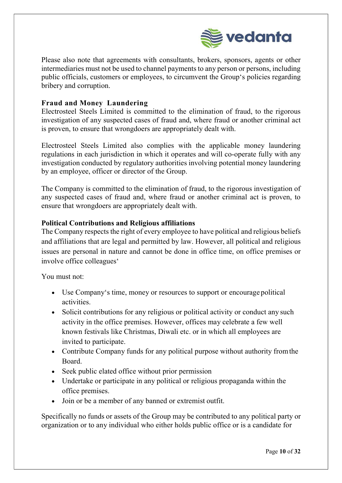

Please also note that agreements with consultants, brokers, sponsors, agents or other intermediaries must not be used to channel payments to any person or persons, including public officials, customers or employees, to circumvent the Group's policies regarding bribery and corruption.

## Fraud and Money Laundering

Electrosteel Steels Limited is committed to the elimination of fraud, to the rigorous investigation of any suspected cases of fraud and, where fraud or another criminal act is proven, to ensure that wrongdoers are appropriately dealt with.

Electrosteel Steels Limited also complies with the applicable money laundering regulations in each jurisdiction in which it operates and will co-operate fully with any investigation conducted by regulatory authorities involving potential money laundering by an employee, officer or director of the Group.

The Company is committed to the elimination of fraud, to the rigorous investigation of any suspected cases of fraud and, where fraud or another criminal act is proven, to ensure that wrongdoers are appropriately dealt with.

## Political Contributions and Religious affiliations

The Company respects the right of every employee to have political and religious beliefs and affiliations that are legal and permitted by law. However, all political and religious issues are personal in nature and cannot be done in office time, on office premises or involve office colleagues'

You must not:

- Use Company's time, money or resources to support or encourage political activities.
- Solicit contributions for any religious or political activity or conduct any such activity in the office premises. However, offices may celebrate a few well known festivals like Christmas, Diwali etc. or in which all employees are invited to participate.
- Contribute Company funds for any political purpose without authority from the Board.
- Seek public elated office without prior permission
- Undertake or participate in any political or religious propaganda within the office premises.
- Join or be a member of any banned or extremist outfit.

Specifically no funds or assets of the Group may be contributed to any political party or organization or to any individual who either holds public office or is a candidate for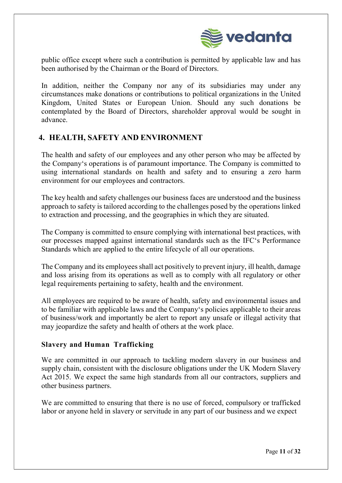

public office except where such a contribution is permitted by applicable law and has been authorised by the Chairman or the Board of Directors.

In addition, neither the Company nor any of its subsidiaries may under any circumstances make donations or contributions to political organizations in the United Kingdom, United States or European Union. Should any such donations be contemplated by the Board of Directors, shareholder approval would be sought in advance.

## 4. HEALTH, SAFETY AND ENVIRONMENT

The health and safety of our employees and any other person who may be affected by the Company's operations is of paramount importance. The Company is committed to using international standards on health and safety and to ensuring a zero harm environment for our employees and contractors.

The key health and safety challenges our business faces are understood and the business approach to safety is tailored according to the challenges posed by the operations linked to extraction and processing, and the geographies in which they are situated.

The Company is committed to ensure complying with international best practices, with our processes mapped against international standards such as the IFC's Performance Standards which are applied to the entire lifecycle of all our operations.

The Company and its employees shall act positively to prevent injury, ill health, damage and loss arising from its operations as well as to comply with all regulatory or other legal requirements pertaining to safety, health and the environment.

All employees are required to be aware of health, safety and environmental issues and to be familiar with applicable laws and the Company's policies applicable to their areas of business/work and importantly be alert to report any unsafe or illegal activity that may jeopardize the safety and health of others at the work place.

## Slavery and Human Trafficking

We are committed in our approach to tackling modern slavery in our business and supply chain, consistent with the disclosure obligations under the UK Modern Slavery Act 2015. We expect the same high standards from all our contractors, suppliers and other business partners.

We are committed to ensuring that there is no use of forced, compulsory or trafficked labor or anyone held in slavery or servitude in any part of our business and we expect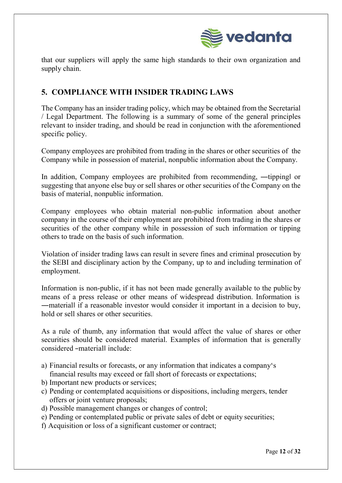

that our suppliers will apply the same high standards to their own organization and supply chain.

## 5. COMPLIANCE WITH INSIDER TRADING LAWS

The Company has an insider trading policy, which may be obtained from the Secretarial / Legal Department. The following is a summary of some of the general principles relevant to insider trading, and should be read in conjunction with the aforementioned specific policy.

Company employees are prohibited from trading in the shares or other securities of the Company while in possession of material, nonpublic information about the Company.

In addition, Company employees are prohibited from recommending, —tipping or suggesting that anyone else buy or sell shares or other securities of the Company on the basis of material, nonpublic information.

Company employees who obtain material non-public information about another company in the course of their employment are prohibited from trading in the shares or securities of the other company while in possession of such information or tipping others to trade on the basis of such information.

Violation of insider trading laws can result in severe fines and criminal prosecution by the SEBI and disciplinary action by the Company, up to and including termination of employment.

Information is non-public, if it has not been made generally available to the public by means of a press release or other means of widespread distribution. Information is ―material‖ if a reasonable investor would consider it important in a decision to buy, hold or sell shares or other securities.

As a rule of thumb, any information that would affect the value of shares or other securities should be considered material. Examples of information that is generally considered ―material‖ include:

- a) Financial results or forecasts, or any information that indicates a company's financial results may exceed or fall short of forecasts or expectations;
- b) Important new products or services;
- c) Pending or contemplated acquisitions or dispositions, including mergers, tender offers or joint venture proposals;
- d) Possible management changes or changes of control;
- e) Pending or contemplated public or private sales of debt or equity securities;
- f) Acquisition or loss of a significant customer or contract;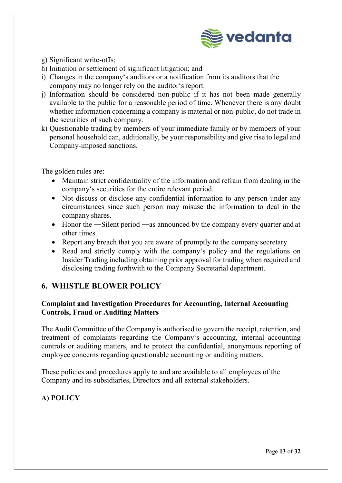

- g) Significant write-offs;
- h) Initiation or settlement of significant litigation; and
- i) Changes in the company's auditors or a notification from its auditors that the company may no longer rely on the auditor's report.
- j) Information should be considered non-public if it has not been made generally available to the public for a reasonable period of time. Whenever there is any doubt whether information concerning a company is material or non-public, do not trade in the securities of such company.
- k) Questionable trading by members of your immediate family or by members of your personal household can, additionally, be your responsibility and give rise to legal and Company-imposed sanctions.

The golden rules are:

- Maintain strict confidentiality of the information and refrain from dealing in the company's securities for the entire relevant period.
- Not discuss or disclose any confidential information to any person under any circumstances since such person may misuse the information to deal in the company shares.
- Honor the —Silent period —as announced by the company every quarter and at other times.
- Report any breach that you are aware of promptly to the company secretary.
- Read and strictly comply with the company's policy and the regulations on Insider Trading including obtaining prior approval for trading when required and disclosing trading forthwith to the Company Secretarial department.

## 6. WHISTLE BLOWER POLICY

## Complaint and Investigation Procedures for Accounting, Internal Accounting Controls, Fraud or Auditing Matters

The Audit Committee of the Company is authorised to govern the receipt, retention, and treatment of complaints regarding the Company's accounting, internal accounting controls or auditing matters, and to protect the confidential, anonymous reporting of employee concerns regarding questionable accounting or auditing matters.

These policies and procedures apply to and are available to all employees of the Company and its subsidiaries, Directors and all external stakeholders.

## A) POLICY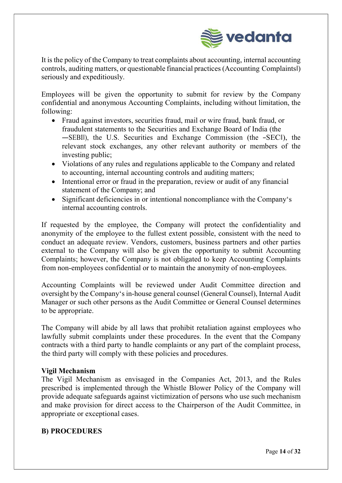

It is the policy of the Company to treat complaints about accounting, internal accounting controls, auditing matters, or questionable financial practices (Accounting Complaints‖) seriously and expeditiously.

Employees will be given the opportunity to submit for review by the Company confidential and anonymous Accounting Complaints, including without limitation, the following:

- Fraud against investors, securities fraud, mail or wire fraud, bank fraud, or fraudulent statements to the Securities and Exchange Board of India (the ―SEBI‖), the U.S. Securities and Exchange Commission (the ―SEC‖), the relevant stock exchanges, any other relevant authority or members of the investing public;
- Violations of any rules and regulations applicable to the Company and related to accounting, internal accounting controls and auditing matters;
- Intentional error or fraud in the preparation, review or audit of any financial statement of the Company; and
- Significant deficiencies in or intentional noncompliance with the Company's internal accounting controls.

If requested by the employee, the Company will protect the confidentiality and anonymity of the employee to the fullest extent possible, consistent with the need to conduct an adequate review. Vendors, customers, business partners and other parties external to the Company will also be given the opportunity to submit Accounting Complaints; however, the Company is not obligated to keep Accounting Complaints from non-employees confidential or to maintain the anonymity of non-employees.

Accounting Complaints will be reviewed under Audit Committee direction and oversight by the Company's in-house general counsel (General Counsel), Internal Audit Manager or such other persons as the Audit Committee or General Counsel determines to be appropriate.

The Company will abide by all laws that prohibit retaliation against employees who lawfully submit complaints under these procedures. In the event that the Company contracts with a third party to handle complaints or any part of the complaint process, the third party will comply with these policies and procedures.

## Vigil Mechanism

The Vigil Mechanism as envisaged in the Companies Act, 2013, and the Rules prescribed is implemented through the Whistle Blower Policy of the Company will provide adequate safeguards against victimization of persons who use such mechanism and make provision for direct access to the Chairperson of the Audit Committee, in appropriate or exceptional cases.

## B) PROCEDURES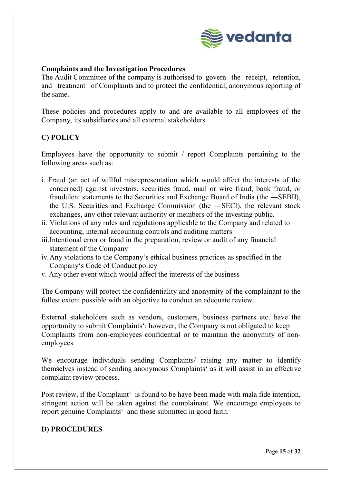

## Complaints and the Investigation Procedures

The Audit Committee of the company is authorised to govern the receipt, retention, and treatment of Complaints and to protect the confidential, anonymous reporting of the same.

These policies and procedures apply to and are available to all employees of the Company, its subsidiaries and all external stakeholders.

## C) POLICY

Employees have the opportunity to submit / report Complaints pertaining to the following areas such as:

- i. Fraud (an act of willful misrepresentation which would affect the interests of the concerned) against investors, securities fraud, mail or wire fraud, bank fraud, or fraudulent statements to the Securities and Exchange Board of India (the ―SEBI‖), the U.S. Securities and Exchange Commission (the ―SEC‖), the relevant stock exchanges, any other relevant authority or members of the investing public.
- ii. Violations of any rules and regulations applicable to the Company and related to accounting, internal accounting controls and auditing matters
- iii.Intentional error or fraud in the preparation, review or audit of any financial statement of the Company
- iv.Any violations to the Company's ethical business practices as specified in the Company's Code of Conduct policy
- v. Any other event which would affect the interests of the business

The Company will protect the confidentiality and anonymity of the complainant to the fullest extent possible with an objective to conduct an adequate review.

External stakeholders such as vendors, customers, business partners etc. have the opportunity to submit Complaints'; however, the Company is not obligated to keep Complaints from non-employees confidential or to maintain the anonymity of nonemployees.

We encourage individuals sending Complaints/ raising any matter to identify themselves instead of sending anonymous Complaints' as it will assist in an effective complaint review process.

Post review, if the Complaint' is found to be have been made with mala fide intention, stringent action will be taken against the complainant. We encourage employees to report genuine Complaints' and those submitted in good faith.

## D) PROCEDURES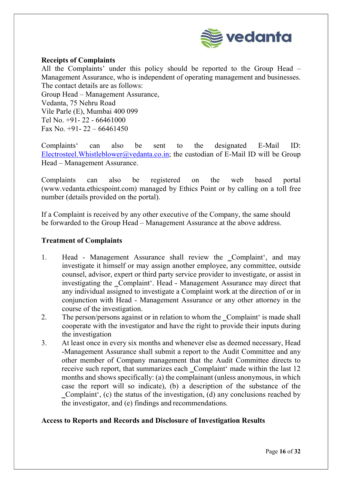

## Receipts of Complaints

All the Complaints' under this policy should be reported to the Group Head – Management Assurance, who is independent of operating management and businesses. The contact details are as follows:

Group Head – Management Assurance, Vedanta, 75 Nehru Road Vile Parle (E), Mumbai 400 099 Tel No. +91- 22 - 66461000 Fax No.  $+91-22-66461450$ 

Complaints' can also be sent to the designated E-Mail ID: Electrosteel. Whistleblower@vedanta.co.in; the custodian of E-Mail ID will be Group Head – Management Assurance.

Complaints can also be registered on the web based portal (www.vedanta.ethicspoint.com) managed by Ethics Point or by calling on a toll free number (details provided on the portal).

If a Complaint is received by any other executive of the Company, the same should be forwarded to the Group Head – Management Assurance at the above address.

## Treatment of Complaints

- 1. Head Management Assurance shall review the \_Complaint', and may investigate it himself or may assign another employee, any committee, outside counsel, advisor, expert or third party service provider to investigate, or assist in investigating the Complaint'. Head - Management Assurance may direct that any individual assigned to investigate a Complaint work at the direction of or in conjunction with Head - Management Assurance or any other attorney in the course of the investigation.
- 2. The person/persons against or in relation to whom the Complaint is made shall cooperate with the investigator and have the right to provide their inputs during the investigation
- 3. At least once in every six months and whenever else as deemed necessary, Head -Management Assurance shall submit a report to the Audit Committee and any other member of Company management that the Audit Committee directs to receive such report, that summarizes each Complaint' made within the last 12 months and shows specifically: (a) the complainant (unless anonymous, in which case the report will so indicate), (b) a description of the substance of the ‗Complaint', (c) the status of the investigation, (d) any conclusions reached by the investigator, and (e) findings and recommendations.

## Access to Reports and Records and Disclosure of Investigation Results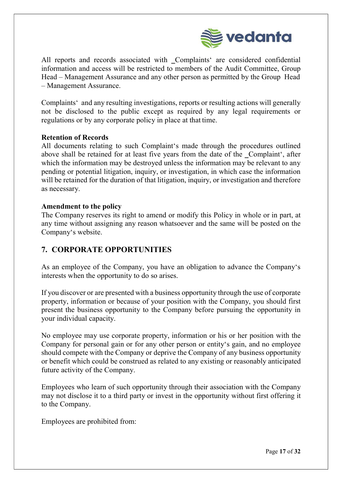

All reports and records associated with Complaints' are considered confidential information and access will be restricted to members of the Audit Committee, Group Head – Management Assurance and any other person as permitted by the Group Head – Management Assurance.

Complaints' and any resulting investigations, reports or resulting actions will generally not be disclosed to the public except as required by any legal requirements or regulations or by any corporate policy in place at that time.

## Retention of Records

All documents relating to such Complaint's made through the procedures outlined above shall be retained for at least five years from the date of the Complaint', after which the information may be destroyed unless the information may be relevant to any pending or potential litigation, inquiry, or investigation, in which case the information will be retained for the duration of that litigation, inquiry, or investigation and therefore as necessary.

## Amendment to the policy

The Company reserves its right to amend or modify this Policy in whole or in part, at any time without assigning any reason whatsoever and the same will be posted on the Company's website.

## 7. CORPORATE OPPORTUNITIES

As an employee of the Company, you have an obligation to advance the Company's interests when the opportunity to do so arises.

If you discover or are presented with a business opportunity through the use of corporate property, information or because of your position with the Company, you should first present the business opportunity to the Company before pursuing the opportunity in your individual capacity.

No employee may use corporate property, information or his or her position with the Company for personal gain or for any other person or entity's gain, and no employee should compete with the Company or deprive the Company of any business opportunity or benefit which could be construed as related to any existing or reasonably anticipated future activity of the Company.

Employees who learn of such opportunity through their association with the Company may not disclose it to a third party or invest in the opportunity without first offering it to the Company.

Employees are prohibited from: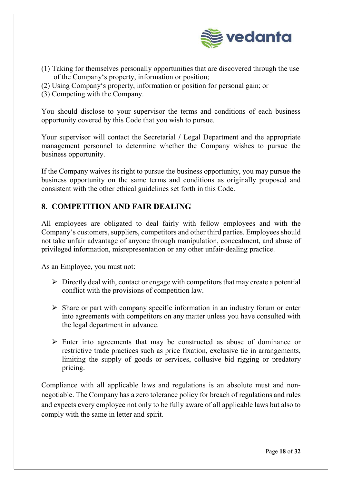

- (1) Taking for themselves personally opportunities that are discovered through the use of the Company's property, information or position;
- (2) Using Company's property, information or position for personal gain; or
- (3) Competing with the Company.

You should disclose to your supervisor the terms and conditions of each business opportunity covered by this Code that you wish to pursue.

Your supervisor will contact the Secretarial / Legal Department and the appropriate management personnel to determine whether the Company wishes to pursue the business opportunity.

If the Company waives its right to pursue the business opportunity, you may pursue the business opportunity on the same terms and conditions as originally proposed and consistent with the other ethical guidelines set forth in this Code.

## 8. COMPETITION AND FAIR DEALING

All employees are obligated to deal fairly with fellow employees and with the Company's customers, suppliers, competitors and other third parties. Employees should not take unfair advantage of anyone through manipulation, concealment, and abuse of privileged information, misrepresentation or any other unfair-dealing practice.

As an Employee, you must not:

- $\triangleright$  Directly deal with, contact or engage with competitors that may create a potential conflict with the provisions of competition law.
- $\triangleright$  Share or part with company specific information in an industry forum or enter into agreements with competitors on any matter unless you have consulted with the legal department in advance.
- $\triangleright$  Enter into agreements that may be constructed as abuse of dominance or restrictive trade practices such as price fixation, exclusive tie in arrangements, limiting the supply of goods or services, collusive bid rigging or predatory pricing.

Compliance with all applicable laws and regulations is an absolute must and nonnegotiable. The Company has a zero tolerance policy for breach of regulations and rules and expects every employee not only to be fully aware of all applicable laws but also to comply with the same in letter and spirit.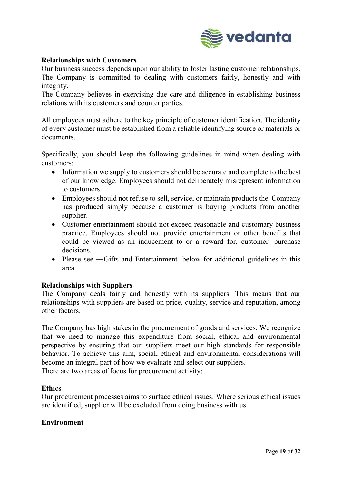

## Relationships with Customers

Our business success depends upon our ability to foster lasting customer relationships. The Company is committed to dealing with customers fairly, honestly and with integrity.

The Company believes in exercising due care and diligence in establishing business relations with its customers and counter parties.

All employees must adhere to the key principle of customer identification. The identity of every customer must be established from a reliable identifying source or materials or documents.

Specifically, you should keep the following guidelines in mind when dealing with customers:

- Information we supply to customers should be accurate and complete to the best of our knowledge. Employees should not deliberately misrepresent information to customers.
- Employees should not refuse to sell, service, or maintain products the Company has produced simply because a customer is buying products from another supplier.
- Customer entertainment should not exceed reasonable and customary business practice. Employees should not provide entertainment or other benefits that could be viewed as an inducement to or a reward for, customer purchase decisions.
- Please see —Gifts and Entertainment below for additional guidelines in this area.

## Relationships with Suppliers

The Company deals fairly and honestly with its suppliers. This means that our relationships with suppliers are based on price, quality, service and reputation, among other factors.

The Company has high stakes in the procurement of goods and services. We recognize that we need to manage this expenditure from social, ethical and environmental perspective by ensuring that our suppliers meet our high standards for responsible behavior. To achieve this aim, social, ethical and environmental considerations will become an integral part of how we evaluate and select our suppliers.

There are two areas of focus for procurement activity:

## **Ethics**

Our procurement processes aims to surface ethical issues. Where serious ethical issues are identified, supplier will be excluded from doing business with us.

## Environment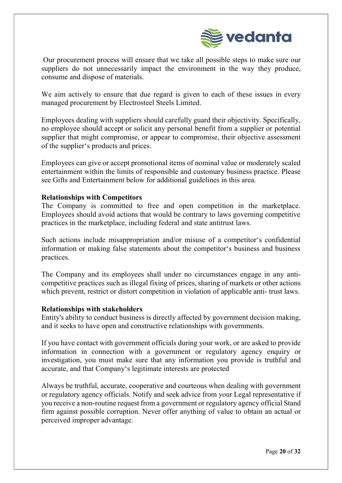

Our procurement process will ensure that we take all possible steps to make sure our suppliers do not unnecessarily impact the environment in the way they produce, consume and dispose of materials.

We aim actively to ensure that due regard is given to each of these issues in every managed procurement by Electrosteel Steels Limited.

Employees dealing with suppliers should carefully guard their objectivity. Specifically, no employee should accept or solicit any personal benefit from a supplier or potential supplier that might compromise, or appear to compromise, their objective assessment of the supplier's products and prices.

Employees can give or accept promotional items of nominal value or moderately scaled entertainment within the limits of responsible and customary business practice. Please see Gifts and Entertainment below for additional guidelines in this area.

## Relationships with Competitors

The Company is committed to free and open competition in the marketplace. Employees should avoid actions that would be contrary to laws governing competitive practices in the marketplace, including federal and state antitrust laws.

Such actions include misappropriation and/or misuse of a competitor's confidential information or making false statements about the competitor's business and business practices.

The Company and its employees shall under no circumstances engage in any anticompetitive practices such as illegal fixing of prices, sharing of markets or other actions which prevent, restrict or distort competition in violation of applicable anti- trust laws.

## Relationships with stakeholders

Entity's ability to conduct business is directly affected by government decision making, and it seeks to have open and constructive relationships with governments.

If you have contact with government officials during your work, or are asked to provide information in connection with a government or regulatory agency enquiry or investigation, you must make sure that any information you provide is truthful and accurate, and that Company's legitimate interests are protected

Always be truthful, accurate, cooperative and courteous when dealing with government or regulatory agency officials. Notify and seek advice from your Legal representative if you receive a non-routine request from a government or regulatory agency official Stand firm against possible corruption. Never offer anything of value to obtain an actual or perceived improper advantage.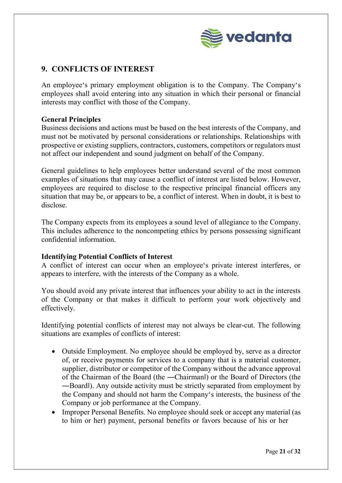

## 9. CONFLICTS OF INTEREST

An employee's primary employment obligation is to the Company. The Company's employees shall avoid entering into any situation in which their personal or financial interests may conflict with those of the Company.

## General Principles

Business decisions and actions must be based on the best interests of the Company, and must not be motivated by personal considerations or relationships. Relationships with prospective or existing suppliers, contractors, customers, competitors or regulators must not affect our independent and sound judgment on behalf of the Company.

General guidelines to help employees better understand several of the most common examples of situations that may cause a conflict of interest are listed below. However, employees are required to disclose to the respective principal financial officers any situation that may be, or appears to be, a conflict of interest. When in doubt, it is best to disclose.

The Company expects from its employees a sound level of allegiance to the Company. This includes adherence to the noncompeting ethics by persons possessing significant confidential information.

## Identifying Potential Conflicts of Interest

A conflict of interest can occur when an employee's private interest interferes, or appears to interfere, with the interests of the Company as a whole.

You should avoid any private interest that influences your ability to act in the interests of the Company or that makes it difficult to perform your work objectively and effectively.

Identifying potential conflicts of interest may not always be clear-cut. The following situations are examples of conflicts of interest:

- Outside Employment. No employee should be employed by, serve as a director of, or receive payments for services to a company that is a material customer, supplier, distributor or competitor of the Company without the advance approval of the Chairman of the Board (the ―Chairman‖) or the Board of Directors (the ―Board‖). Any outside activity must be strictly separated from employment by the Company and should not harm the Company's interests, the business of the Company or job performance at the Company.
- Improper Personal Benefits. No employee should seek or accept any material (as to him or her) payment, personal benefits or favors because of his or her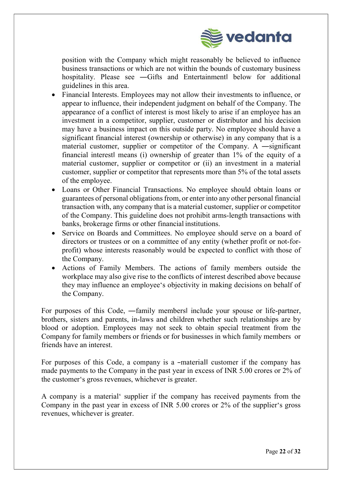

position with the Company which might reasonably be believed to influence business transactions or which are not within the bounds of customary business hospitality. Please see —Gifts and Entertainment below for additional guidelines in this area.

- Financial Interests. Employees may not allow their investments to influence, or appear to influence, their independent judgment on behalf of the Company. The appearance of a conflict of interest is most likely to arise if an employee has an investment in a competitor, supplier, customer or distributor and his decision may have a business impact on this outside party. No employee should have a significant financial interest (ownership or otherwise) in any company that is a material customer, supplier or competitor of the Company. A ―significant financial interest‖ means (i) ownership of greater than 1% of the equity of a material customer, supplier or competitor or (ii) an investment in a material customer, supplier or competitor that represents more than 5% of the total assets of the employee.
- Loans or Other Financial Transactions. No employee should obtain loans or guarantees of personal obligations from, or enter into any other personal financial transaction with, any company that is a material customer, supplier or competitor of the Company. This guideline does not prohibit arms-length transactions with banks, brokerage firms or other financial institutions.
- Service on Boards and Committees. No employee should serve on a board of directors or trustees or on a committee of any entity (whether profit or not-forprofit) whose interests reasonably would be expected to conflict with those of the Company.
- Actions of Family Members. The actions of family members outside the workplace may also give rise to the conflicts of interest described above because they may influence an employee's objectivity in making decisions on behalf of the Company.

For purposes of this Code, ―family members‖ include your spouse or life-partner, brothers, sisters and parents, in-laws and children whether such relationships are by blood or adoption. Employees may not seek to obtain special treatment from the Company for family members or friends or for businesses in which family members or friends have an interest.

For purposes of this Code, a company is a -materiall customer if the company has made payments to the Company in the past year in excess of INR 5.00 crores or 2% of the customer's gross revenues, whichever is greater.

A company is a material' supplier if the company has received payments from the Company in the past year in excess of INR 5.00 crores or 2% of the supplier's gross revenues, whichever is greater.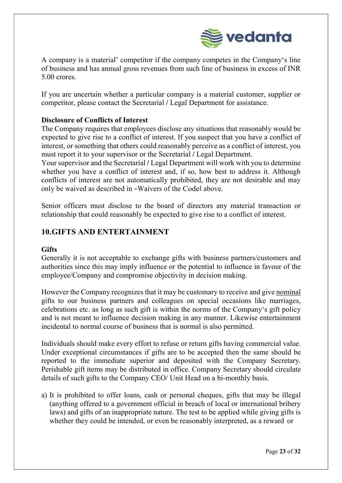

A company is a material' competitor if the company competes in the Company's line of business and has annual gross revenues from such line of business in excess of INR 5.00 crores.

If you are uncertain whether a particular company is a material customer, supplier or competitor, please contact the Secretarial / Legal Department for assistance.

## Disclosure of Conflicts of Interest

The Company requires that employees disclose any situations that reasonably would be expected to give rise to a conflict of interest. If you suspect that you have a conflict of interest, or something that others could reasonably perceive as a conflict of interest, you must report it to your supervisor or the Secretarial / Legal Department.

Your supervisor and the Secretarial / Legal Department will work with you to determine whether you have a conflict of interest and, if so, how best to address it. Although conflicts of interest are not automatically prohibited, they are not desirable and may only be waived as described in ―Waivers of the Code‖ above.

Senior officers must disclose to the board of directors any material transaction or relationship that could reasonably be expected to give rise to a conflict of interest.

## 10.GIFTS AND ENTERTAINMENT

## **Gifts**

Generally it is not acceptable to exchange gifts with business partners/customers and authorities since this may imply influence or the potential to influence in favour of the employee/Company and compromise objectivity in decision making.

However the Company recognizes that it may be customary to receive and give nominal gifts to our business partners and colleagues on special occasions like marriages, celebrations etc. as long as such gift is within the norms of the Company's gift policy and is not meant to influence decision making in any manner. Likewise entertainment incidental to normal course of business that is normal is also permitted.

Individuals should make every effort to refuse or return gifts having commercial value. Under exceptional circumstances if gifts are to be accepted then the same should be reported to the immediate superior and deposited with the Company Secretary. Perishable gift items may be distributed in office. Company Secretary should circulate details of such gifts to the Company CEO/ Unit Head on a bi-monthly basis.

a) It is prohibited to offer loans, cash or personal cheques, gifts that may be illegal (anything offered to a government official in breach of local or international bribery laws) and gifts of an inappropriate nature. The test to be applied while giving gifts is whether they could be intended, or even be reasonably interpreted, as a reward or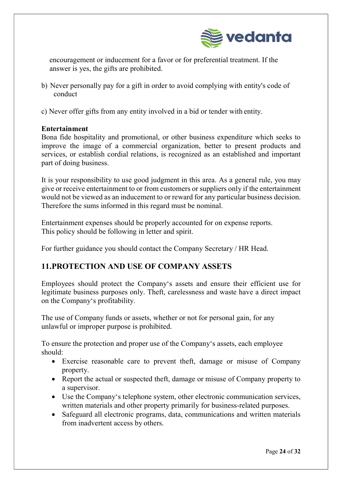

encouragement or inducement for a favor or for preferential treatment. If the answer is yes, the gifts are prohibited.

- b) Never personally pay for a gift in order to avoid complying with entity's code of conduct
- c) Never offer gifts from any entity involved in a bid or tender with entity.

## Entertainment

Bona fide hospitality and promotional, or other business expenditure which seeks to improve the image of a commercial organization, better to present products and services, or establish cordial relations, is recognized as an established and important part of doing business.

It is your responsibility to use good judgment in this area. As a general rule, you may give or receive entertainment to or from customers or suppliers only if the entertainment would not be viewed as an inducement to or reward for any particular business decision. Therefore the sums informed in this regard must be nominal.

Entertainment expenses should be properly accounted for on expense reports. This policy should be following in letter and spirit.

For further guidance you should contact the Company Secretary / HR Head.

## 11.PROTECTION AND USE OF COMPANY ASSETS

Employees should protect the Company's assets and ensure their efficient use for legitimate business purposes only. Theft, carelessness and waste have a direct impact on the Company's profitability.

The use of Company funds or assets, whether or not for personal gain, for any unlawful or improper purpose is prohibited.

To ensure the protection and proper use of the Company's assets, each employee should:

- Exercise reasonable care to prevent theft, damage or misuse of Company property.
- Report the actual or suspected theft, damage or misuse of Company property to a supervisor.
- Use the Company's telephone system, other electronic communication services, written materials and other property primarily for business-related purposes.
- Safeguard all electronic programs, data, communications and written materials from inadvertent access by others.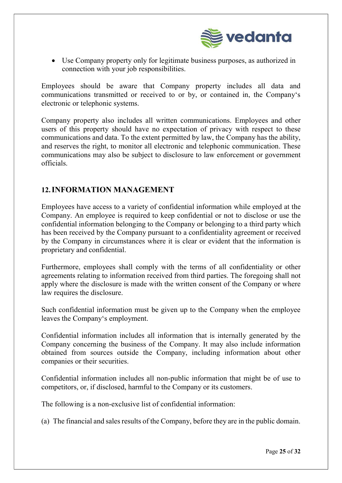

 Use Company property only for legitimate business purposes, as authorized in connection with your job responsibilities.

Employees should be aware that Company property includes all data and communications transmitted or received to or by, or contained in, the Company's electronic or telephonic systems.

Company property also includes all written communications. Employees and other users of this property should have no expectation of privacy with respect to these communications and data. To the extent permitted by law, the Company has the ability, and reserves the right, to monitor all electronic and telephonic communication. These communications may also be subject to disclosure to law enforcement or government officials.

## 12.INFORMATION MANAGEMENT

Employees have access to a variety of confidential information while employed at the Company. An employee is required to keep confidential or not to disclose or use the confidential information belonging to the Company or belonging to a third party which has been received by the Company pursuant to a confidentiality agreement or received by the Company in circumstances where it is clear or evident that the information is proprietary and confidential.

Furthermore, employees shall comply with the terms of all confidentiality or other agreements relating to information received from third parties. The foregoing shall not apply where the disclosure is made with the written consent of the Company or where law requires the disclosure.

Such confidential information must be given up to the Company when the employee leaves the Company's employment.

Confidential information includes all information that is internally generated by the Company concerning the business of the Company. It may also include information obtained from sources outside the Company, including information about other companies or their securities.

Confidential information includes all non-public information that might be of use to competitors, or, if disclosed, harmful to the Company or its customers.

The following is a non-exclusive list of confidential information:

(a) The financial and sales results of the Company, before they are in the public domain.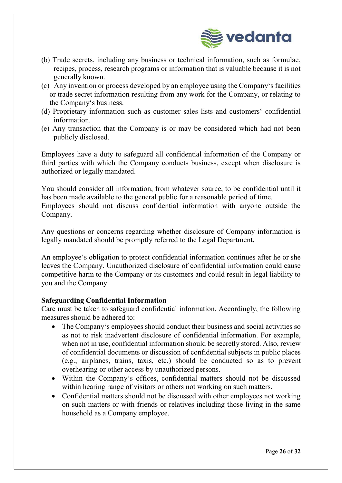

- (b) Trade secrets, including any business or technical information, such as formulae, recipes, process, research programs or information that is valuable because it is not generally known.
- (c) Any invention or process developed by an employee using the Company's facilities or trade secret information resulting from any work for the Company, or relating to the Company's business.
- (d) Proprietary information such as customer sales lists and customers' confidential information.
- (e) Any transaction that the Company is or may be considered which had not been publicly disclosed.

Employees have a duty to safeguard all confidential information of the Company or third parties with which the Company conducts business, except when disclosure is authorized or legally mandated.

You should consider all information, from whatever source, to be confidential until it has been made available to the general public for a reasonable period of time. Employees should not discuss confidential information with anyone outside the Company.

Any questions or concerns regarding whether disclosure of Company information is legally mandated should be promptly referred to the Legal Department.

An employee's obligation to protect confidential information continues after he or she leaves the Company. Unauthorized disclosure of confidential information could cause competitive harm to the Company or its customers and could result in legal liability to you and the Company.

## Safeguarding Confidential Information

Care must be taken to safeguard confidential information. Accordingly, the following measures should be adhered to:

- The Company's employees should conduct their business and social activities so as not to risk inadvertent disclosure of confidential information. For example, when not in use, confidential information should be secretly stored. Also, review of confidential documents or discussion of confidential subjects in public places (e.g., airplanes, trains, taxis, etc.) should be conducted so as to prevent overhearing or other access by unauthorized persons.
- Within the Company's offices, confidential matters should not be discussed within hearing range of visitors or others not working on such matters.
- Confidential matters should not be discussed with other employees not working on such matters or with friends or relatives including those living in the same household as a Company employee.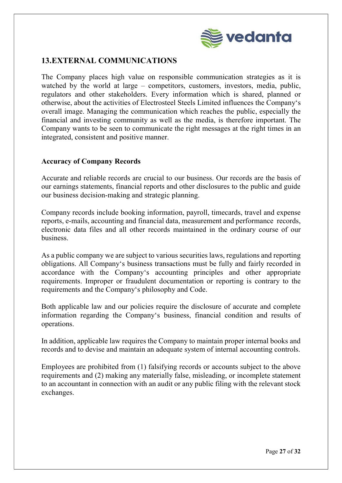

## 13.EXTERNAL COMMUNICATIONS

The Company places high value on responsible communication strategies as it is watched by the world at large – competitors, customers, investors, media, public, regulators and other stakeholders. Every information which is shared, planned or otherwise, about the activities of Electrosteel Steels Limited influences the Company's overall image. Managing the communication which reaches the public, especially the financial and investing community as well as the media, is therefore important. The Company wants to be seen to communicate the right messages at the right times in an integrated, consistent and positive manner.

## Accuracy of Company Records

Accurate and reliable records are crucial to our business. Our records are the basis of our earnings statements, financial reports and other disclosures to the public and guide our business decision-making and strategic planning.

Company records include booking information, payroll, timecards, travel and expense reports, e-mails, accounting and financial data, measurement and performance records, electronic data files and all other records maintained in the ordinary course of our business.

As a public company we are subject to various securities laws, regulations and reporting obligations. All Company's business transactions must be fully and fairly recorded in accordance with the Company's accounting principles and other appropriate requirements. Improper or fraudulent documentation or reporting is contrary to the requirements and the Company's philosophy and Code.

Both applicable law and our policies require the disclosure of accurate and complete information regarding the Company's business, financial condition and results of operations.

In addition, applicable law requires the Company to maintain proper internal books and records and to devise and maintain an adequate system of internal accounting controls.

Employees are prohibited from (1) falsifying records or accounts subject to the above requirements and (2) making any materially false, misleading, or incomplete statement to an accountant in connection with an audit or any public filing with the relevant stock exchanges.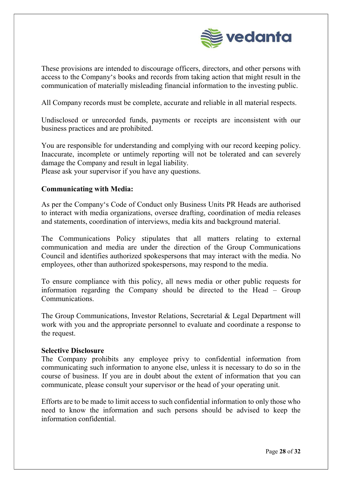

These provisions are intended to discourage officers, directors, and other persons with access to the Company's books and records from taking action that might result in the communication of materially misleading financial information to the investing public.

All Company records must be complete, accurate and reliable in all material respects.

Undisclosed or unrecorded funds, payments or receipts are inconsistent with our business practices and are prohibited.

You are responsible for understanding and complying with our record keeping policy. Inaccurate, incomplete or untimely reporting will not be tolerated and can severely damage the Company and result in legal liability.

Please ask your supervisor if you have any questions.

## Communicating with Media:

As per the Company's Code of Conduct only Business Units PR Heads are authorised to interact with media organizations, oversee drafting, coordination of media releases and statements, coordination of interviews, media kits and background material.

The Communications Policy stipulates that all matters relating to external communication and media are under the direction of the Group Communications Council and identifies authorized spokespersons that may interact with the media. No employees, other than authorized spokespersons, may respond to the media.

To ensure compliance with this policy, all news media or other public requests for information regarding the Company should be directed to the Head – Group Communications.

The Group Communications, Investor Relations, Secretarial & Legal Department will work with you and the appropriate personnel to evaluate and coordinate a response to the request.

## Selective Disclosure

The Company prohibits any employee privy to confidential information from communicating such information to anyone else, unless it is necessary to do so in the course of business. If you are in doubt about the extent of information that you can communicate, please consult your supervisor or the head of your operating unit.

Efforts are to be made to limit access to such confidential information to only those who need to know the information and such persons should be advised to keep the information confidential.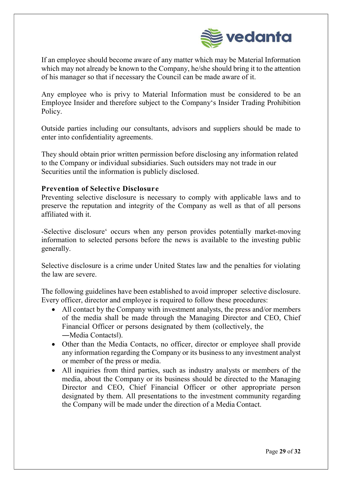

If an employee should become aware of any matter which may be Material Information which may not already be known to the Company, he/she should bring it to the attention of his manager so that if necessary the Council can be made aware of it.

Any employee who is privy to Material Information must be considered to be an Employee Insider and therefore subject to the Company's Insider Trading Prohibition Policy.

Outside parties including our consultants, advisors and suppliers should be made to enter into confidentiality agreements.

They should obtain prior written permission before disclosing any information related to the Company or individual subsidiaries. Such outsiders may not trade in our Securities until the information is publicly disclosed.

## Prevention of Selective Disclosure

Preventing selective disclosure is necessary to comply with applicable laws and to preserve the reputation and integrity of the Company as well as that of all persons affiliated with it.

-Selective disclosure' occurs when any person provides potentially market-moving information to selected persons before the news is available to the investing public generally.

Selective disclosure is a crime under United States law and the penalties for violating the law are severe.

The following guidelines have been established to avoid improper selective disclosure. Every officer, director and employee is required to follow these procedures:

- All contact by the Company with investment analysts, the press and/or members of the media shall be made through the Managing Director and CEO, Chief Financial Officer or persons designated by them (collectively, the ―Media Contacts‖).
- Other than the Media Contacts, no officer, director or employee shall provide any information regarding the Company or its business to any investment analyst or member of the press or media.
- All inquiries from third parties, such as industry analysts or members of the media, about the Company or its business should be directed to the Managing Director and CEO, Chief Financial Officer or other appropriate person designated by them. All presentations to the investment community regarding the Company will be made under the direction of a Media Contact.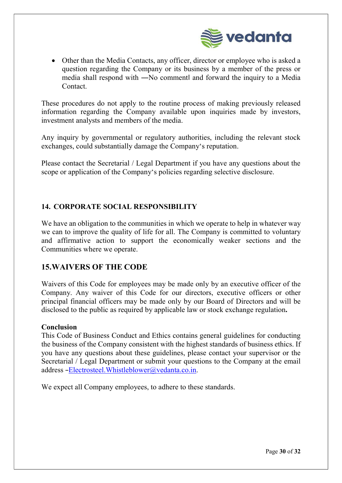

 Other than the Media Contacts, any officer, director or employee who is asked a question regarding the Company or its business by a member of the press or media shall respond with ―No comment‖ and forward the inquiry to a Media Contact.

These procedures do not apply to the routine process of making previously released information regarding the Company available upon inquiries made by investors, investment analysts and members of the media.

Any inquiry by governmental or regulatory authorities, including the relevant stock exchanges, could substantially damage the Company's reputation.

Please contact the Secretarial / Legal Department if you have any questions about the scope or application of the Company's policies regarding selective disclosure.

## 14. CORPORATE SOCIAL RESPONSIBILITY

We have an obligation to the communities in which we operate to help in whatever way we can to improve the quality of life for all. The Company is committed to voluntary and affirmative action to support the economically weaker sections and the Communities where we operate.

## 15.WAIVERS OF THE CODE

Waivers of this Code for employees may be made only by an executive officer of the Company. Any waiver of this Code for our directors, executive officers or other principal financial officers may be made only by our Board of Directors and will be disclosed to the public as required by applicable law or stock exchange regulation.

## Conclusion

This Code of Business Conduct and Ethics contains general guidelines for conducting the business of the Company consistent with the highest standards of business ethics. If you have any questions about these guidelines, please contact your supervisor or the Secretarial / Legal Department or submit your questions to the Company at the email address ―Electrosteel.Whistleblower@vedanta.co.in.

We expect all Company employees, to adhere to these standards.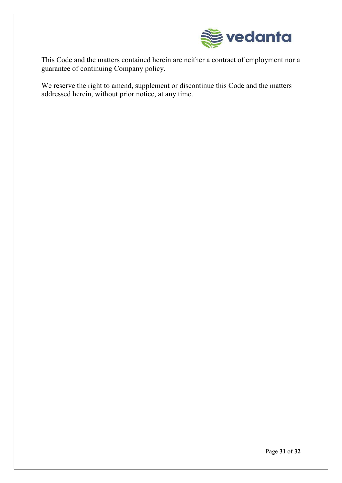

This Code and the matters contained herein are neither a contract of employment nor a guarantee of continuing Company policy.

We reserve the right to amend, supplement or discontinue this Code and the matters addressed herein, without prior notice, at any time.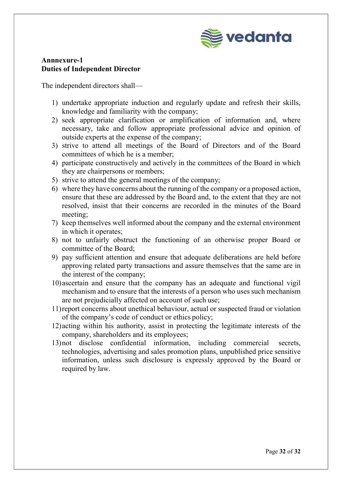

## Annnexure-1 Duties of Independent Director

The independent directors shall—

- 1) undertake appropriate induction and regularly update and refresh their skills, knowledge and familiarity with the company;
- 2) seek appropriate clarification or amplification of information and, where necessary, take and follow appropriate professional advice and opinion of outside experts at the expense of the company;
- 3) strive to attend all meetings of the Board of Directors and of the Board committees of which he is a member;
- 4) participate constructively and actively in the committees of the Board in which they are chairpersons or members;
- 5) strive to attend the general meetings of the company;
- 6) where they have concerns about the running of the company or a proposed action, ensure that these are addressed by the Board and, to the extent that they are not resolved, insist that their concerns are recorded in the minutes of the Board meeting;
- 7) keep themselves well informed about the company and the external environment in which it operates;
- 8) not to unfairly obstruct the functioning of an otherwise proper Board or committee of the Board;
- 9) pay sufficient attention and ensure that adequate deliberations are held before approving related party transactions and assure themselves that the same are in the interest of the company;
- 10)ascertain and ensure that the company has an adequate and functional vigil mechanism and to ensure that the interests of a person who uses such mechanism are not prejudicially affected on account of such use;
- 11)report concerns about unethical behaviour, actual or suspected fraud or violation of the company's code of conduct or ethics policy;
- 12)acting within his authority, assist in protecting the legitimate interests of the company, shareholders and its employees;
- 13)not disclose confidential information, including commercial secrets, technologies, advertising and sales promotion plans, unpublished price sensitive information, unless such disclosure is expressly approved by the Board or required by law.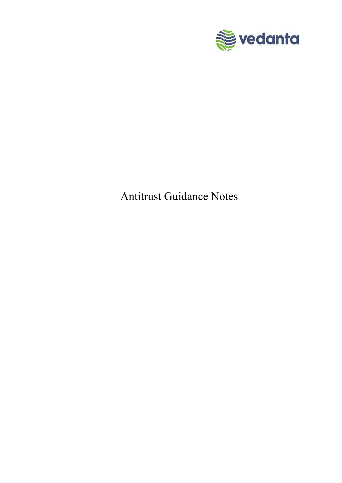

# Antitrust Guidance Notes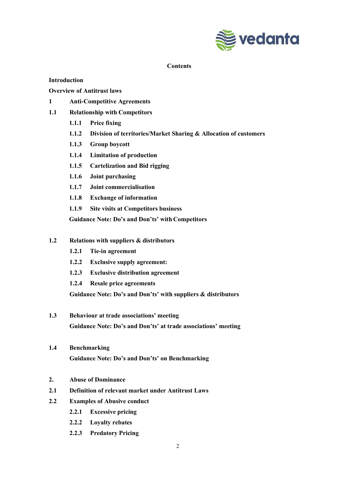

#### **Contents**

#### Introduction

Overview of Antitrust laws

- 1 Anti-Competitive Agreements
- 1.1 Relationship with Competitors
	- 1.1.1 Price fixing
	- 1.1.2 Division of territories/Market Sharing & Allocation of customers
	- 1.1.3 Group boycott
	- 1.1.4 Limitation of production
	- 1.1.5 Cartelization and Bid rigging
	- 1.1.6 Joint purchasing
	- 1.1.7 Joint commercialisation
	- 1.1.8 Exchange of information
	- 1.1.9 Site visits at Competitors business

Guidance Note: Do's and Don'ts' with Competitors

- 1.2 Relations with suppliers & distributors
	- 1.2.1 Tie-in agreement
	- 1.2.2 Exclusive supply agreement:
	- 1.2.3 Exclusive distribution agreement
	- 1.2.4 Resale price agreements

Guidance Note: Do's and Don'ts' with suppliers & distributors

- 1.3 Behaviour at trade associations' meeting Guidance Note: Do's and Don'ts' at trade associations' meeting
- 1.4 Benchmarking

Guidance Note: Do's and Don'ts' on Benchmarking

- 2. Abuse of Dominance
- 2.1 Definition of relevant market under Antitrust Laws
- 2.2 Examples of Abusive conduct
	- 2.2.1 Excessive pricing
	- 2.2.2 Loyalty rebates
	- 2.2.3 Predatory Pricing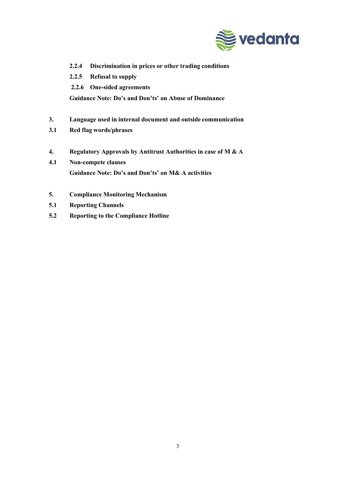

- 2.2.4 Discrimination in prices or other trading conditions
- 2.2.5 Refusal to supply
- 2.2.6 One-sided agreements

Guidance Note: Do's and Don'ts' on Abuse of Dominance

- 3. Language used in internal document and outside communication
- 3.1 Red flag words/phrases
- 4. Regulatory Approvals by Antitrust Authorities in case of M & A
- 4.1 Non-compete clauses Guidance Note: Do's and Don'ts' on M& A activities
- 5. Compliance Monitoring Mechanism
- 5.1 Reporting Channels
- 5.2 Reporting to the Compliance Hotline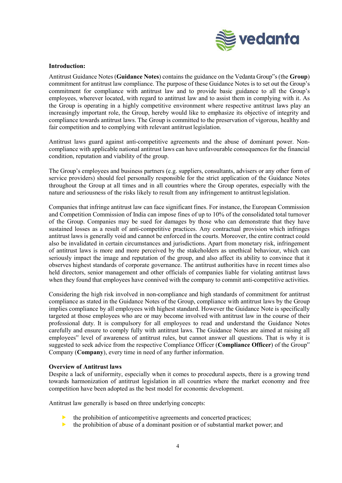

#### Introduction:

Antitrust Guidance Notes (Guidance Notes) contains the guidance on the Vedanta Group"s (the Group) commitment for antitrust law compliance. The purpose of these Guidance Notes is to set out the Group's commitment for compliance with antitrust law and to provide basic guidance to all the Group's employees, wherever located, with regard to antitrust law and to assist them in complying with it. As the Group is operating in a highly competitive environment where respective antitrust laws play an increasingly important role, the Group, hereby would like to emphasize its objective of integrity and compliance towards antitrust laws. The Group is committed to the preservation of vigorous, healthy and fair competition and to complying with relevant antitrust legislation.

Antitrust laws guard against anti-competitive agreements and the abuse of dominant power. Noncompliance with applicable national antitrust laws can have unfavourable consequences for the financial condition, reputation and viability of the group.

The Group's employees and business partners (e.g. suppliers, consultants, advisers or any other form of service providers) should feel personally responsible for the strict application of the Guidance Notes throughout the Group at all times and in all countries where the Group operates, especially with the nature and seriousness of the risks likely to result from any infringement to antitrust legislation.

Companies that infringe antitrust law can face significant fines. For instance, the European Commission and Competition Commission of India can impose fines of up to 10% of the consolidated total turnover of the Group. Companies may be sued for damages by those who can demonstrate that they have sustained losses as a result of anti-competitive practices. Any contractual provision which infringes antitrust laws is generally void and cannot be enforced in the courts. Moreover, the entire contract could also be invalidated in certain circumstances and jurisdictions. Apart from monetary risk, infringement of antitrust laws is more and more perceived by the stakeholders as unethical behaviour, which can seriously impact the image and reputation of the group, and also affect its ability to convince that it observes highest standards of corporate governance. The antitrust authorities have in recent times also held directors, senior management and other officials of companies liable for violating antitrust laws when they found that employees have connived with the company to commit anti-competitive activities.

Considering the high risk involved in non-compliance and high standards of commitment for antitrust compliance as stated in the Guidance Notes of the Group, compliance with antitrust laws by the Group implies compliance by all employees with highest standard. However the Guidance Note is specifically targeted at those employees who are or may become involved with antitrust law in the course of their professional duty. It is compulsory for all employees to read and understand the Guidance Notes carefully and ensure to comply fully with antitrust laws. The Guidance Notes are aimed at raising all employees" level of awareness of antitrust rules, but cannot answer all questions. That is why it is suggested to seek advice from the respective Compliance Officer (Compliance Officer) of the Group" Company (Company), every time in need of any further information.

#### Overview of Antitrust laws

Despite a lack of uniformity, especially when it comes to procedural aspects, there is a growing trend towards harmonization of antitrust legislation in all countries where the market economy and free competition have been adopted as the best model for economic development.

Antitrust law generally is based on three underlying concepts:

- $\blacktriangleright$  the prohibition of anticompetitive agreements and concerted practices;
- $\blacktriangleright$  the prohibition of abuse of a dominant position or of substantial market power; and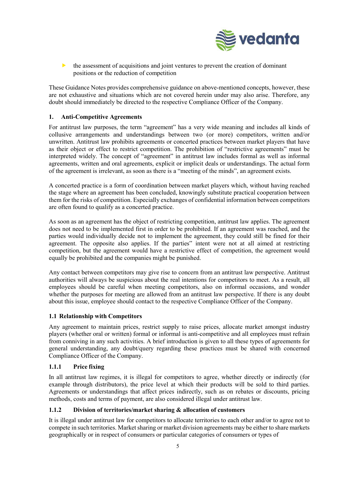

 $\blacktriangleright$  the assessment of acquisitions and joint ventures to prevent the creation of dominant positions or the reduction of competition

These Guidance Notes provides comprehensive guidance on above-mentioned concepts, however, these are not exhaustive and situations which are not covered herein under may also arise. Therefore, any doubt should immediately be directed to the respective Compliance Officer of the Company.

#### 1. Anti-Competitive Agreements

For antitrust law purposes, the term "agreement" has a very wide meaning and includes all kinds of collusive arrangements and understandings between two (or more) competitors, written and/or unwritten. Antitrust law prohibits agreements or concerted practices between market players that have as their object or effect to restrict competition. The prohibition of "restrictive agreements" must be interpreted widely. The concept of "agreement" in antitrust law includes formal as well as informal agreements, written and oral agreements, explicit or implicit deals or understandings. The actual form of the agreement is irrelevant, as soon as there is a "meeting of the minds", an agreement exists.

A concerted practice is a form of coordination between market players which, without having reached the stage where an agreement has been concluded, knowingly substitute practical cooperation between them for the risks of competition. Especially exchanges of confidential information between competitors are often found to qualify as a concerted practice.

As soon as an agreement has the object of restricting competition, antitrust law applies. The agreement does not need to be implemented first in order to be prohibited. If an agreement was reached, and the parties would individually decide not to implement the agreement, they could still be fined for their agreement. The opposite also applies. If the parties" intent were not at all aimed at restricting competition, but the agreement would have a restrictive effect of competition, the agreement would equally be prohibited and the companies might be punished.

Any contact between competitors may give rise to concern from an antitrust law perspective. Antitrust authorities will always be suspicious about the real intentions for competitors to meet. As a result, all employees should be careful when meeting competitors, also on informal occasions, and wonder whether the purposes for meeting are allowed from an antitrust law perspective. If there is any doubt about this issue, employee should contact to the respective Compliance Officer of the Company.

#### 1.1 Relationship with Competitors

Any agreement to maintain prices, restrict supply to raise prices, allocate market amongst industry players (whether oral or written) formal or informal is anti-competitive and all employees must refrain from conniving in any such activities. A brief introduction is given to all these types of agreements for general understanding, any doubt/query regarding these practices must be shared with concerned Compliance Officer of the Company.

#### 1.1.1 Price fixing

In all antitrust law regimes, it is illegal for competitors to agree, whether directly or indirectly (for example through distributors), the price level at which their products will be sold to third parties. Agreements or understandings that affect prices indirectly, such as on rebates or discounts, pricing methods, costs and terms of payment, are also considered illegal under antitrust law.

#### 1.1.2 Division of territories/market sharing & allocation of customers

It is illegal under antitrust law for competitors to allocate territories to each other and/or to agree not to compete in such territories. Market sharing or market division agreements may be either to share markets geographically or in respect of consumers or particular categories of consumers or types of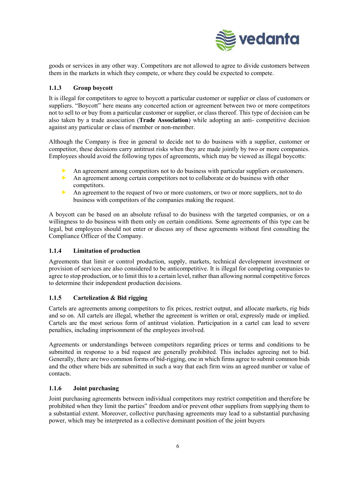

goods or services in any other way. Competitors are not allowed to agree to divide customers between them in the markets in which they compete, or where they could be expected to compete.

#### 1.1.3 Group boycott

It is illegal for competitors to agree to boycott a particular customer or supplier or class of customers or suppliers. "Boycott" here means any concerted action or agreement between two or more competitors not to sell to or buy from a particular customer or supplier, or class thereof. This type of decision can be also taken by a trade association (Trade Association) while adopting an anti- competitive decision against any particular or class of member or non-member.

Although the Company is free in general to decide not to do business with a supplier, customer or competitor, these decisions carry antitrust risks when they are made jointly by two or more companies. Employees should avoid the following types of agreements, which may be viewed as illegal boycotts:

- An agreement among competitors not to do business with particular suppliers or customers.
- An agreement among certain competitors not to collaborate or do business with other competitors.
- An agreement to the request of two or more customers, or two or more suppliers, not to do business with competitors of the companies making the request.

A boycott can be based on an absolute refusal to do business with the targeted companies, or on a willingness to do business with them only on certain conditions. Some agreements of this type can be legal, but employees should not enter or discuss any of these agreements without first consulting the Compliance Officer of the Company.

#### 1.1.4 Limitation of production

Agreements that limit or control production, supply, markets, technical development investment or provision of services are also considered to be anticompetitive. It is illegal for competing companies to agree to stop production, or to limit this to a certain level, rather than allowing normal competitive forces to determine their independent production decisions.

## 1.1.5 Cartelization & Bid rigging

Cartels are agreements among competitors to fix prices, restrict output, and allocate markets, rig bids and so on. All cartels are illegal, whether the agreement is written or oral, expressly made or implied. Cartels are the most serious form of antitrust violation. Participation in a cartel can lead to severe penalties, including imprisonment of the employees involved.

Agreements or understandings between competitors regarding prices or terms and conditions to be submitted in response to a bid request are generally prohibited. This includes agreeing not to bid. Generally, there are two common forms of bid-rigging, one in which firms agree to submit common bids and the other where bids are submitted in such a way that each firm wins an agreed number or value of contacts.

#### 1.1.6 Joint purchasing

Joint purchasing agreements between individual competitors may restrict competition and therefore be prohibited when they limit the parties" freedom and/or prevent other suppliers from supplying them to a substantial extent. Moreover, collective purchasing agreements may lead to a substantial purchasing power, which may be interpreted as a collective dominant position of the joint buyers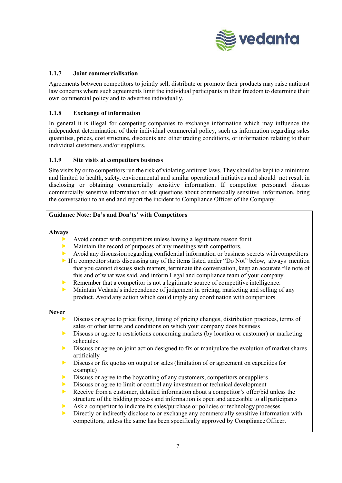

#### 1.1.7 Joint commercialisation

Agreements between competitors to jointly sell, distribute or promote their products may raise antitrust law concerns where such agreements limit the individual participants in their freedom to determine their own commercial policy and to advertise individually.

#### 1.1.8 Exchange of information

In general it is illegal for competing companies to exchange information which may influence the independent determination of their individual commercial policy, such as information regarding sales quantities, prices, cost structure, discounts and other trading conditions, or information relating to their individual customers and/or suppliers.

#### 1.1.9 Site visits at competitors business

Site visits by or to competitors run the risk of violating antitrust laws. They should be kept to a minimum and limited to health, safety, environmental and similar operational initiatives and should not result in disclosing or obtaining commercially sensitive information. If competitor personnel discuss commercially sensitive information or ask questions about commercially sensitive information, bring the conversation to an end and report the incident to Compliance Officer of the Company.

#### Guidance Note: Do's and Don'ts' with Competitors

Always

- Avoid contact with competitors unless having a legitimate reason for it
- Maintain the record of purposes of any meetings with competitors.
- Avoid any discussion regarding confidential information or business secrets with competitors
- If a competitor starts discussing any of the items listed under "Do Not" below, always mention that you cannot discuss such matters, terminate the conversation, keep an accurate file note of this and of what was said, and inform Legal and compliance team of your company.
- Remember that a competitor is not a legitimate source of competitive intelligence.
- $\triangleright$  Maintain Vedanta's independence of judgement in pricing, marketing and selling of any product. Avoid any action which could imply any coordination with competitors

#### Never

- Discuss or agree to price fixing, timing of pricing changes, distribution practices, terms of sales or other terms and conditions on which your company does business
- **Discuss or agree to restrictions concerning markets (by location or customer) or marketing** schedules
- $\triangleright$  Discuss or agree on joint action designed to fix or manipulate the evolution of market shares artificially
- **Discuss or fix quotas on output or sales (limitation of or agreement on capacities for** example)
- Discuss or agree to the boycotting of any customers, competitors or suppliers
- Discuss or agree to limit or control any investment or technical development
- Receive from a customer, detailed information about a competitor's offer/bid unless the structure of the bidding process and information is open and accessible to all participants
- Ask a competitor to indicate its sales/purchase or policies or technology processes
- Directly or indirectly disclose to or exchange any commercially sensitive information with competitors, unless the same has been specifically approved by Compliance Officer.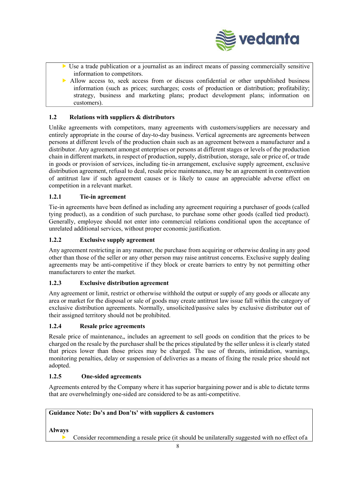

- $\triangleright$  Use a trade publication or a journalist as an indirect means of passing commercially sensitive information to competitors.
- Allow access to, seek access from or discuss confidential or other unpublished business information (such as prices; surcharges; costs of production or distribution; profitability; strategy, business and marketing plans; product development plans; information on customers).

#### 1.2 Relations with suppliers & distributors

Unlike agreements with competitors, many agreements with customers/suppliers are necessary and entirely appropriate in the course of day-to-day business. Vertical agreements are agreements between persons at different levels of the production chain such as an agreement between a manufacturer and a distributor. Any agreement amongst enterprises or persons at different stages or levels of the production chain in different markets, in respect of production, supply, distribution, storage, sale or price of, or trade in goods or provision of services, including tie-in arrangement, exclusive supply agreement, exclusive distribution agreement, refusal to deal, resale price maintenance, may be an agreement in contravention of antitrust law if such agreement causes or is likely to cause an appreciable adverse effect on competition in a relevant market.

#### 1.2.1 Tie-in agreement

Tie-in agreements have been defined as including any agreement requiring a purchaser of goods (called tying product), as a condition of such purchase, to purchase some other goods (called tied product). Generally, employee should not enter into commercial relations conditional upon the acceptance of unrelated additional services, without proper economic justification.

#### 1.2.2 Exclusive supply agreement

Any agreement restricting in any manner, the purchase from acquiring or otherwise dealing in any good other than those of the seller or any other person may raise antitrust concerns. Exclusive supply dealing agreements may be anti-competitive if they block or create barriers to entry by not permitting other manufacturers to enter the market.

#### 1.2.3 Exclusive distribution agreement

Any agreement or limit, restrict or otherwise withhold the output or supply of any goods or allocate any area or market for the disposal or sale of goods may create antitrust law issue fall within the category of exclusive distribution agreements. Normally, unsolicited/passive sales by exclusive distributor out of their assigned territory should not be prohibited.

#### 1.2.4 Resale price agreements

Resale price of maintenance, includes an agreement to sell goods on condition that the prices to be charged on the resale by the purchaser shall be the prices stipulated by the seller unless it is clearly stated that prices lower than those prices may be charged. The use of threats, intimidation, warnings, monitoring penalties, delay or suspension of deliveries as a means of fixing the resale price should not adopted.

#### 1.2.5 One-sided agreements

Agreements entered by the Company where it has superior bargaining power and is able to dictate terms that are overwhelmingly one-sided are considered to be as anti-competitive.

#### Guidance Note: Do's and Don'ts' with suppliers & customers

Always

Consider recommending a resale price (it should be unilaterally suggested with no effect of a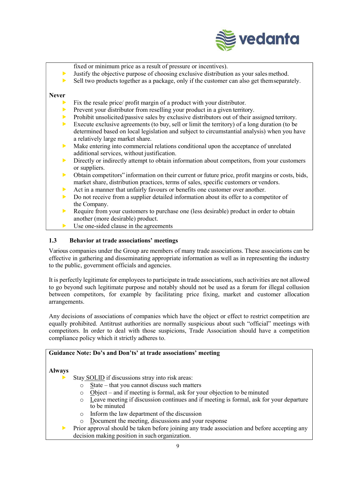

fixed or minimum price as a result of pressure or incentives).

- $\blacktriangleright$  Justify the objective purpose of choosing exclusive distribution as your sales method.
- $\triangleright$  Sell two products together as a package, only if the customer can also get them separately.

#### Never

- Fix the resale price/ profit margin of a product with your distributor.
- Prevent your distributor from reselling your product in a given territory.
- Prohibit unsolicited/passive sales by exclusive distributors out of their assigned territory.
- Execute exclusive agreements (to buy, sell or limit the territory) of a long duration (to be determined based on local legislation and subject to circumstantial analysis) when you have a relatively large market share.
- Make entering into commercial relations conditional upon the acceptance of unrelated additional services, without justification.
- Directly or indirectly attempt to obtain information about competitors, from your customers or suppliers.
- Obtain competitors" information on their current or future price, profit margins or costs, bids, market share, distribution practices, terms of sales, specific customers or vendors.
- Act in a manner that unfairly favours or benefits one customer over another.
- Do not receive from a supplier detailed information about its offer to a competitor of the Company.
- Require from your customers to purchase one (less desirable) product in order to obtain another (more desirable) product.
- Use one-sided clause in the agreements

#### 1.3 Behavior at trade associations' meetings

Various companies under the Group are members of many trade associations. These associations can be effective in gathering and disseminating appropriate information as well as in representing the industry to the public, government officials and agencies.

It is perfectly legitimate for employees to participate in trade associations, such activities are not allowed to go beyond such legitimate purpose and notably should not be used as a forum for illegal collusion between competitors, for example by facilitating price fixing, market and customer allocation arrangements.

Any decisions of associations of companies which have the object or effect to restrict competition are equally prohibited. Antitrust authorities are normally suspicious about such "official" meetings with competitors. In order to deal with those suspicions, Trade Association should have a competition compliance policy which it strictly adheres to.

## Guidance Note: Do's and Don'ts' at trade associations' meeting

#### Always

- Stay SOLID if discussions stray into risk areas:
	- $\circ$  State that you cannot discuss such matters
	- o Object and if meeting is formal, ask for your objection to be minuted
	- o Leave meeting if discussion continues and if meeting is formal, ask for your departure to be minuted
	- $\circ$  Inform the law department of the discussion  $\circ$  Document the meeting. discussions and vous
	- Document the meeting, discussions and your response
- Prior approval should be taken before joining any trade association and before accepting any decision making position in such organization.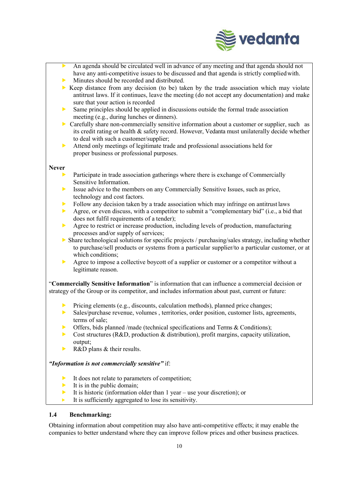

- An agenda should be circulated well in advance of any meeting and that agenda should not have any anti-competitive issues to be discussed and that agenda is strictly complied with.
- Minutes should be recorded and distributed.
- Keep distance from any decision (to be) taken by the trade association which may violate antitrust laws. If it continues, leave the meeting (do not accept any documentation) and make sure that your action is recorded
- $\triangleright$  Same principles should be applied in discussions outside the formal trade association meeting (e.g., during lunches or dinners).
- Carefully share non-commercially sensitive information about a customer or supplier, such as its credit rating or health & safety record. However, Vedanta must unilaterally decide whether to deal with such a customer/supplier;
- Attend only meetings of legitimate trade and professional associations held for proper business or professional purposes.

#### Never

- Participate in trade association gatherings where there is exchange of Commercially Sensitive Information.
- Issue advice to the members on any Commercially Sensitive Issues, such as price, technology and cost factors.
- Follow any decision taken by a trade association which may infringe on antitrust laws
- Agree, or even discuss, with a competitor to submit a "complementary bid" (i.e., a bid that does not fulfil requirements of a tender);
- Agree to restrict or increase production, including levels of production, manufacturing processes and/or supply of services;
- Share technological solutions for specific projects / purchasing/sales strategy, including whether to purchase/sell products or systems from a particular supplier/to a particular customer, or at which conditions:
- Agree to impose a collective boycott of a supplier or customer or a competitor without a legitimate reason.

"Commercially Sensitive Information" is information that can influence a commercial decision or strategy of the Group or its competitor, and includes information about past, current or future:

- Pricing elements (e.g., discounts, calculation methods), planned price changes;
- Sales/purchase revenue, volumes , territories, order position, customer lists, agreements, terms of sale;
- $\triangleright$  Offers, bids planned /made (technical specifications and Terms & Conditions);
- $\triangleright$  Cost structures (R&D, production & distribution), profit margins, capacity utilization, output;
- R&D plans & their results.

"Information is not commercially sensitive" if:

- It does not relate to parameters of competition;
- It is in the public domain;
- It is historic (information older than  $1$  year use your discretion); or
- It is sufficiently aggregated to lose its sensitivity.

#### 1.4 Benchmarking:

Obtaining information about competition may also have anti-competitive effects; it may enable the companies to better understand where they can improve follow prices and other business practices.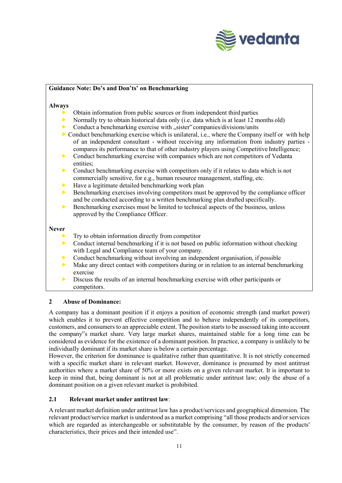

#### Guidance Note: Do's and Don'ts' on Benchmarking

#### Always

- Obtain information from public sources or from independent third parties
- Normally try to obtain historical data only (i.e. data which is at least 12 months old)
- Conduct a benchmarking exercise with "sister" companies/divisions/units
- $\triangleright$  Conduct benchmarking exercise which is unilateral, i.e., where the Company itself or with help of an independent consultant - without receiving any information from industry parties compares its performance to that of other industry players using Competitive Intelligence;
- Conduct benchmarking exercise with companies which are not competitors of Vedanta entities;
- $\triangleright$  Conduct benchmarking exercise with competitors only if it relates to data which is not commercially sensitive, for e.g., human resource management, staffing, etc.
- Have a legitimate detailed benchmarking work plan
- $\triangleright$  Benchmarking exercises involving competitors must be approved by the compliance officer and be conducted according to a written benchmarking plan drafted specifically.
- $\triangleright$  Benchmarking exercises must be limited to technical aspects of the business, unless approved by the Compliance Officer.

#### Never

- Try to obtain information directly from competitor
- $\triangleright$  Conduct internal benchmarking if it is not based on public information without checking with Legal and Compliance team of your company.
	- Conduct benchmarking without involving an independent organisation, if possible
- $\triangleright$  Make any direct contact with competitors during or in relation to an internal benchmarking exercise
- Discuss the results of an internal benchmarking exercise with other participants or competitors.

#### 2 Abuse of Dominance:

A company has a dominant position if it enjoys a position of economic strength (and market power) which enables it to prevent effective competition and to behave independently of its competitors, customers, and consumers to an appreciable extent. The position starts to be assessed taking into account the company"s market share. Very large market shares, maintained stable for a long time can be considered as evidence for the existence of a dominant position. In practice, a company is unlikely to be individually dominant if its market share is below a certain percentage.

However, the criterion for dominance is qualitative rather than quantitative. It is not strictly concerned with a specific market share in relevant market. However, dominance is presumed by most antitrust authorities where a market share of 50% or more exists on a given relevant market. It is important to keep in mind that, being dominant is not at all problematic under antitrust law; only the abuse of a dominant position on a given relevant market is prohibited.

#### 2.1 Relevant market under antitrust law:

A relevant market definition under antitrust law has a product/services and geographical dimension. The relevant product/service market is understood as a market comprising "all those products and/or services which are regarded as interchangeable or substitutable by the consumer, by reason of the products' characteristics, their prices and their intended use".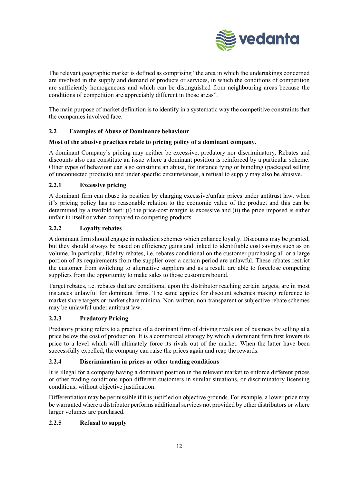

The relevant geographic market is defined as comprising "the area in which the undertakings concerned are involved in the supply and demand of products or services, in which the conditions of competition are sufficiently homogeneous and which can be distinguished from neighbouring areas because the conditions of competition are appreciably different in those areas".

The main purpose of market definition is to identify in a systematic way the competitive constraints that the companies involved face.

#### 2.2 Examples of Abuse of Dominance behaviour

#### Most of the abusive practices relate to pricing policy of a dominant company.

A dominant Company's pricing may neither be excessive, predatory nor discriminatory. Rebates and discounts also can constitute an issue where a dominant position is reinforced by a particular scheme. Other types of behaviour can also constitute an abuse, for instance tying or bundling (packaged selling of unconnected products) and under specific circumstances, a refusal to supply may also be abusive.

#### 2.2.1 Excessive pricing

A dominant firm can abuse its position by charging excessive/unfair prices under antitrust law, when it"s pricing policy has no reasonable relation to the economic value of the product and this can be determined by a twofold test: (i) the price-cost margin is excessive and (ii) the price imposed is either unfair in itself or when compared to competing products.

#### 2.2.2 Loyalty rebates

A dominant firm should engage in reduction schemes which enhance loyalty. Discounts may be granted, but they should always be based on efficiency gains and linked to identifiable cost savings such as on volume. In particular, fidelity rebates, i.e. rebates conditional on the customer purchasing all or a large portion of its requirements from the supplier over a certain period are unlawful. These rebates restrict the customer from switching to alternative suppliers and as a result, are able to foreclose competing suppliers from the opportunity to make sales to those customers bound.

Target rebates, i.e. rebates that are conditional upon the distributor reaching certain targets, are in most instances unlawful for dominant firms. The same applies for discount schemes making reference to market share targets or market share minima. Non-written, non-transparent or subjective rebate schemes may be unlawful under antitrust law.

#### 2.2.3 Predatory Pricing

Predatory pricing refers to a practice of a dominant firm of driving rivals out of business by selling at a price below the cost of production. It is a commercial strategy by which a dominant firm first lowers its price to a level which will ultimately force its rivals out of the market. When the latter have been successfully expelled, the company can raise the prices again and reap the rewards.

#### 2.2.4 Discrimination in prices or other trading conditions

It is illegal for a company having a dominant position in the relevant market to enforce different prices or other trading conditions upon different customers in similar situations, or discriminatory licensing conditions, without objective justification.

Differentiation may be permissible if it is justified on objective grounds. For example, a lower price may be warranted where a distributor performs additional services not provided by other distributors or where larger volumes are purchased.

#### 2.2.5 Refusal to supply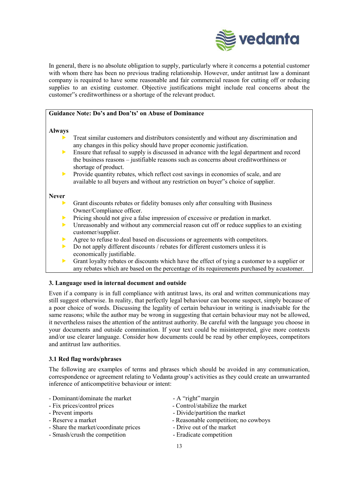

In general, there is no absolute obligation to supply, particularly where it concerns a potential customer with whom there has been no previous trading relationship. However, under antitrust law a dominant company is required to have some reasonable and fair commercial reason for cutting off or reducing supplies to an existing customer. Objective justifications might include real concerns about the customer"s creditworthiness or a shortage of the relevant product.

#### Guidance Note: Do's and Don'ts' on Abuse of Dominance

#### Always

- Treat similar customers and distributors consistently and without any discrimination and any changes in this policy should have proper economic justification.
- Ensure that refusal to supply is discussed in advance with the legal department and record the business reasons – justifiable reasons such as concerns about creditworthiness or shortage of product.
- Provide quantity rebates, which reflect cost savings in economies of scale, and are available to all buyers and without any restriction on buyer"s choice of supplier.

#### Never

- Grant discounts rebates or fidelity bonuses only after consulting with Business Owner/Compliance officer.
- **Pricing should not give a false impression of excessive or predation in market.**
- $\triangleright$  Unreasonably and without any commercial reason cut off or reduce supplies to an existing customer/supplier.
- Agree to refuse to deal based on discussions or agreements with competitors.
- Do not apply different discounts / rebates for different customers unless it is economically justifiable.
- Grant loyalty rebates or discounts which have the effect of tying a customer to a supplier or any rebates which are based on the percentage of its requirements purchased by a customer.

#### 3. Language used in internal document and outside

Even if a company is in full compliance with antitrust laws, its oral and written communications may still suggest otherwise. In reality, that perfectly legal behaviour can become suspect, simply because of a poor choice of words. Discussing the legality of certain behaviour in writing is inadvisable for the same reasons; while the author may be wrong in suggesting that certain behaviour may not be allowed, it nevertheless raises the attention of the antitrust authority. Be careful with the language you choose in your documents and outside commination. If your text could be misinterpreted, give more contexts and/or use clearer language. Consider how documents could be read by other employees, competitors and antitrust law authorities.

#### 3.1 Red flag words/phrases

The following are examples of terms and phrases which should be avoided in any communication, correspondence or agreement relating to Vedanta group's activities as they could create an unwarranted inference of anticompetitive behaviour or intent:

- Dominant/dominate the market A "right" margin
- 
- 
- 
- Share the market/coordinate prices Drive out of the market
- Smash/crush the competition Eradicate competition
- 
- Fix prices/control prices Control/stabilize the market
- Prevent imports Divide/partition the market
- Reserve a market  $\sim$  Reasonable competition; no cowboys
	-
	-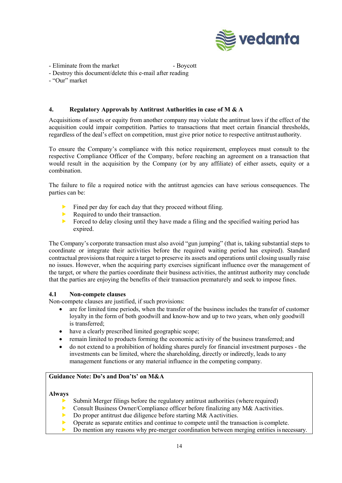

- Eliminate from the market Boycott
- Destroy this document/delete this e-mail after reading
- "Our" market

#### 4. Regulatory Approvals by Antitrust Authorities in case of M & A

Acquisitions of assets or equity from another company may violate the antitrust laws if the effect of the acquisition could impair competition. Parties to transactions that meet certain financial thresholds, regardless of the deal's effect on competition, must give prior notice to respective antitrust authority.

To ensure the Company's compliance with this notice requirement, employees must consult to the respective Compliance Officer of the Company, before reaching an agreement on a transaction that would result in the acquisition by the Company (or by any affiliate) of either assets, equity or a combination.

The failure to file a required notice with the antitrust agencies can have serious consequences. The parties can be:

- Fined per day for each day that they proceed without filing.
- Required to undo their transaction.
- Forced to delay closing until they have made a filing and the specified waiting period has expired.

The Company's corporate transaction must also avoid "gun jumping" (that is, taking substantial steps to coordinate or integrate their activities before the required waiting period has expired). Standard contractual provisions that require a target to preserve its assets and operations until closing usually raise no issues. However, when the acquiring party exercises significant influence over the management of the target, or where the parties coordinate their business activities, the antitrust authority may conclude that the parties are enjoying the benefits of their transaction prematurely and seek to impose fines.

#### 4.1 Non-compete clauses

Non-compete clauses are justified, if such provisions:

- are for limited time periods, when the transfer of the business includes the transfer of customer loyalty in the form of both goodwill and know-how and up to two years, when only goodwill is transferred;
- have a clearly prescribed limited geographic scope;
- remain limited to products forming the economic activity of the business transferred; and
- do not extend to a prohibition of holding shares purely for financial investment purposes the investments can be limited, where the shareholding, directly or indirectly, leads to any management functions or any material influence in the competing company.

#### Guidance Note: Do's and Don'ts' on M&A

#### Always

- Submit Merger filings before the regulatory antitrust authorities (where required)
- **Consult Business Owner/Compliance officer before finalizing any M& A activities.**
- Do proper antitrust due diligence before starting M& A activities.
- Operate as separate entities and continue to compete until the transaction is complete.
- Do mention any reasons why pre-merger coordination between merging entities is necessary.